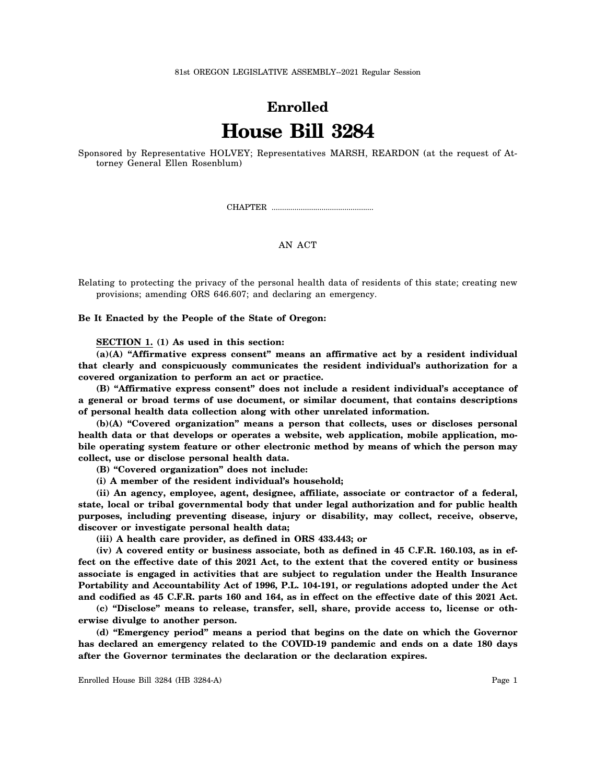81st OREGON LEGISLATIVE ASSEMBLY--2021 Regular Session

## **Enrolled House Bill 3284**

Sponsored by Representative HOLVEY; Representatives MARSH, REARDON (at the request of Attorney General Ellen Rosenblum)

CHAPTER .................................................

## AN ACT

Relating to protecting the privacy of the personal health data of residents of this state; creating new provisions; amending ORS 646.607; and declaring an emergency.

**Be It Enacted by the People of the State of Oregon:**

**SECTION 1. (1) As used in this section:**

**(a)(A) "Affirmative express consent" means an affirmative act by a resident individual that clearly and conspicuously communicates the resident individual's authorization for a covered organization to perform an act or practice.**

**(B) "Affirmative express consent" does not include a resident individual's acceptance of a general or broad terms of use document, or similar document, that contains descriptions of personal health data collection along with other unrelated information.**

**(b)(A) "Covered organization" means a person that collects, uses or discloses personal health data or that develops or operates a website, web application, mobile application, mobile operating system feature or other electronic method by means of which the person may collect, use or disclose personal health data.**

**(B) "Covered organization" does not include:**

**(i) A member of the resident individual's household;**

**(ii) An agency, employee, agent, designee, affiliate, associate or contractor of a federal, state, local or tribal governmental body that under legal authorization and for public health purposes, including preventing disease, injury or disability, may collect, receive, observe, discover or investigate personal health data;**

**(iii) A health care provider, as defined in ORS 433.443; or**

**(iv) A covered entity or business associate, both as defined in 45 C.F.R. 160.103, as in effect on the effective date of this 2021 Act, to the extent that the covered entity or business associate is engaged in activities that are subject to regulation under the Health Insurance Portability and Accountability Act of 1996, P.L. 104-191, or regulations adopted under the Act and codified as 45 C.F.R. parts 160 and 164, as in effect on the effective date of this 2021 Act.**

**(c) "Disclose" means to release, transfer, sell, share, provide access to, license or otherwise divulge to another person.**

**(d) "Emergency period" means a period that begins on the date on which the Governor has declared an emergency related to the COVID-19 pandemic and ends on a date 180 days after the Governor terminates the declaration or the declaration expires.**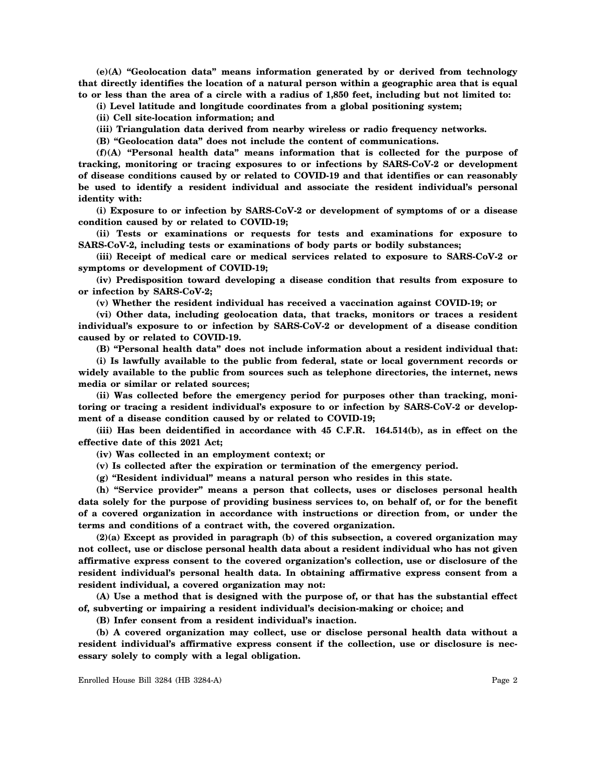**(e)(A) "Geolocation data" means information generated by or derived from technology that directly identifies the location of a natural person within a geographic area that is equal to or less than the area of a circle with a radius of 1,850 feet, including but not limited to:**

**(i) Level latitude and longitude coordinates from a global positioning system;**

**(ii) Cell site-location information; and**

**(iii) Triangulation data derived from nearby wireless or radio frequency networks.**

**(B) "Geolocation data" does not include the content of communications.**

**(f)(A) "Personal health data" means information that is collected for the purpose of tracking, monitoring or tracing exposures to or infections by SARS-CoV-2 or development of disease conditions caused by or related to COVID-19 and that identifies or can reasonably be used to identify a resident individual and associate the resident individual's personal identity with:**

**(i) Exposure to or infection by SARS-CoV-2 or development of symptoms of or a disease condition caused by or related to COVID-19;**

**(ii) Tests or examinations or requests for tests and examinations for exposure to SARS-CoV-2, including tests or examinations of body parts or bodily substances;**

**(iii) Receipt of medical care or medical services related to exposure to SARS-CoV-2 or symptoms or development of COVID-19;**

**(iv) Predisposition toward developing a disease condition that results from exposure to or infection by SARS-CoV-2;**

**(v) Whether the resident individual has received a vaccination against COVID-19; or**

**(vi) Other data, including geolocation data, that tracks, monitors or traces a resident individual's exposure to or infection by SARS-CoV-2 or development of a disease condition caused by or related to COVID-19.**

**(B) "Personal health data" does not include information about a resident individual that:**

**(i) Is lawfully available to the public from federal, state or local government records or widely available to the public from sources such as telephone directories, the internet, news media or similar or related sources;**

**(ii) Was collected before the emergency period for purposes other than tracking, monitoring or tracing a resident individual's exposure to or infection by SARS-CoV-2 or development of a disease condition caused by or related to COVID-19;**

**(iii) Has been deidentified in accordance with 45 C.F.R. 164.514(b), as in effect on the effective date of this 2021 Act;**

**(iv) Was collected in an employment context; or**

**(v) Is collected after the expiration or termination of the emergency period.**

**(g) "Resident individual" means a natural person who resides in this state.**

**(h) "Service provider" means a person that collects, uses or discloses personal health data solely for the purpose of providing business services to, on behalf of, or for the benefit of a covered organization in accordance with instructions or direction from, or under the terms and conditions of a contract with, the covered organization.**

**(2)(a) Except as provided in paragraph (b) of this subsection, a covered organization may not collect, use or disclose personal health data about a resident individual who has not given affirmative express consent to the covered organization's collection, use or disclosure of the resident individual's personal health data. In obtaining affirmative express consent from a resident individual, a covered organization may not:**

**(A) Use a method that is designed with the purpose of, or that has the substantial effect of, subverting or impairing a resident individual's decision-making or choice; and**

**(B) Infer consent from a resident individual's inaction.**

**(b) A covered organization may collect, use or disclose personal health data without a resident individual's affirmative express consent if the collection, use or disclosure is necessary solely to comply with a legal obligation.**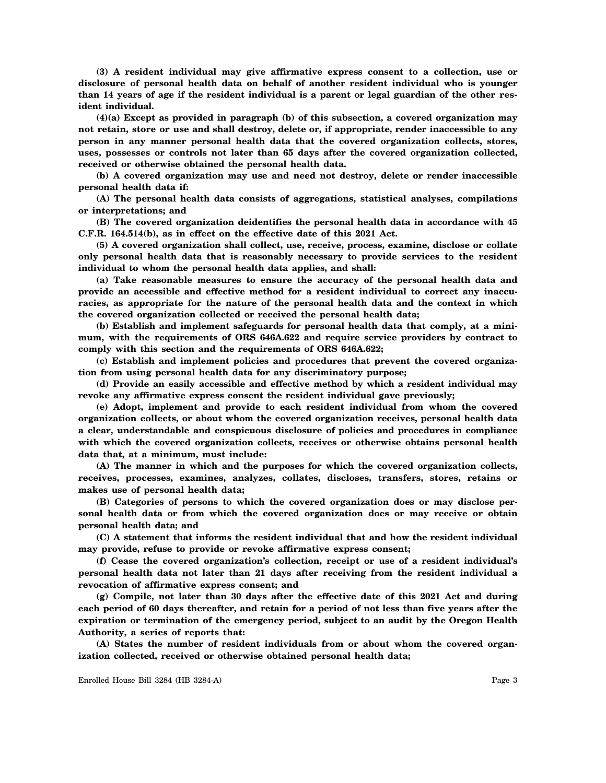**(3) A resident individual may give affirmative express consent to a collection, use or disclosure of personal health data on behalf of another resident individual who is younger than 14 years of age if the resident individual is a parent or legal guardian of the other resident individual.**

**(4)(a) Except as provided in paragraph (b) of this subsection, a covered organization may not retain, store or use and shall destroy, delete or, if appropriate, render inaccessible to any person in any manner personal health data that the covered organization collects, stores, uses, possesses or controls not later than 65 days after the covered organization collected, received or otherwise obtained the personal health data.**

**(b) A covered organization may use and need not destroy, delete or render inaccessible personal health data if:**

**(A) The personal health data consists of aggregations, statistical analyses, compilations or interpretations; and**

**(B) The covered organization deidentifies the personal health data in accordance with 45 C.F.R. 164.514(b), as in effect on the effective date of this 2021 Act.**

**(5) A covered organization shall collect, use, receive, process, examine, disclose or collate only personal health data that is reasonably necessary to provide services to the resident individual to whom the personal health data applies, and shall:**

**(a) Take reasonable measures to ensure the accuracy of the personal health data and provide an accessible and effective method for a resident individual to correct any inaccuracies, as appropriate for the nature of the personal health data and the context in which the covered organization collected or received the personal health data;**

**(b) Establish and implement safeguards for personal health data that comply, at a minimum, with the requirements of ORS 646A.622 and require service providers by contract to comply with this section and the requirements of ORS 646A.622;**

**(c) Establish and implement policies and procedures that prevent the covered organization from using personal health data for any discriminatory purpose;**

**(d) Provide an easily accessible and effective method by which a resident individual may revoke any affirmative express consent the resident individual gave previously;**

**(e) Adopt, implement and provide to each resident individual from whom the covered organization collects, or about whom the covered organization receives, personal health data a clear, understandable and conspicuous disclosure of policies and procedures in compliance with which the covered organization collects, receives or otherwise obtains personal health data that, at a minimum, must include:**

**(A) The manner in which and the purposes for which the covered organization collects, receives, processes, examines, analyzes, collates, discloses, transfers, stores, retains or makes use of personal health data;**

**(B) Categories of persons to which the covered organization does or may disclose personal health data or from which the covered organization does or may receive or obtain personal health data; and**

**(C) A statement that informs the resident individual that and how the resident individual may provide, refuse to provide or revoke affirmative express consent;**

**(f) Cease the covered organization's collection, receipt or use of a resident individual's personal health data not later than 21 days after receiving from the resident individual a revocation of affirmative express consent; and**

**(g) Compile, not later than 30 days after the effective date of this 2021 Act and during each period of 60 days thereafter, and retain for a period of not less than five years after the expiration or termination of the emergency period, subject to an audit by the Oregon Health Authority, a series of reports that:**

**(A) States the number of resident individuals from or about whom the covered organization collected, received or otherwise obtained personal health data;**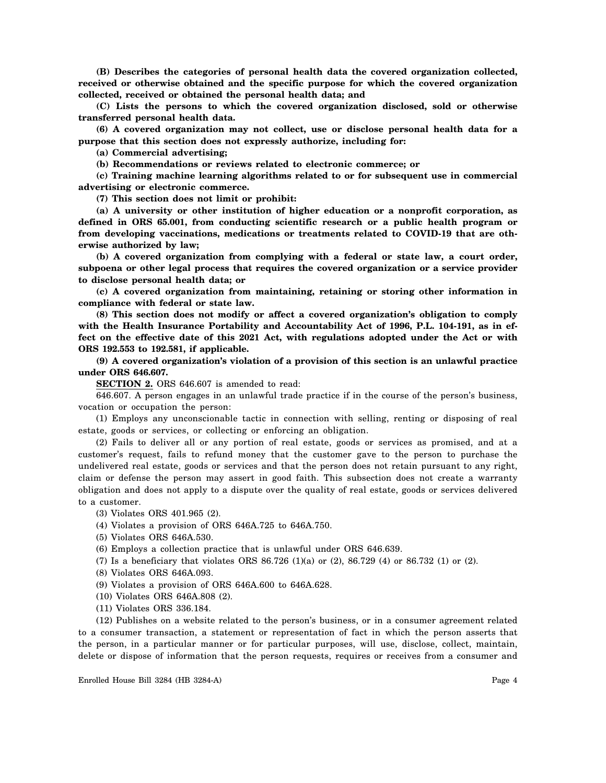**(B) Describes the categories of personal health data the covered organization collected, received or otherwise obtained and the specific purpose for which the covered organization collected, received or obtained the personal health data; and**

**(C) Lists the persons to which the covered organization disclosed, sold or otherwise transferred personal health data.**

**(6) A covered organization may not collect, use or disclose personal health data for a purpose that this section does not expressly authorize, including for:**

**(a) Commercial advertising;**

**(b) Recommendations or reviews related to electronic commerce; or**

**(c) Training machine learning algorithms related to or for subsequent use in commercial advertising or electronic commerce.**

**(7) This section does not limit or prohibit:**

**(a) A university or other institution of higher education or a nonprofit corporation, as defined in ORS 65.001, from conducting scientific research or a public health program or from developing vaccinations, medications or treatments related to COVID-19 that are otherwise authorized by law;**

**(b) A covered organization from complying with a federal or state law, a court order, subpoena or other legal process that requires the covered organization or a service provider to disclose personal health data; or**

**(c) A covered organization from maintaining, retaining or storing other information in compliance with federal or state law.**

**(8) This section does not modify or affect a covered organization's obligation to comply** with the Health Insurance Portability and Accountability Act of 1996, P.L. 104-191, as in ef**fect on the effective date of this 2021 Act, with regulations adopted under the Act or with ORS 192.553 to 192.581, if applicable.**

**(9) A covered organization's violation of a provision of this section is an unlawful practice under ORS 646.607.**

**SECTION 2.** ORS 646.607 is amended to read:

646.607. A person engages in an unlawful trade practice if in the course of the person's business, vocation or occupation the person:

(1) Employs any unconscionable tactic in connection with selling, renting or disposing of real estate, goods or services, or collecting or enforcing an obligation.

(2) Fails to deliver all or any portion of real estate, goods or services as promised, and at a customer's request, fails to refund money that the customer gave to the person to purchase the undelivered real estate, goods or services and that the person does not retain pursuant to any right, claim or defense the person may assert in good faith. This subsection does not create a warranty obligation and does not apply to a dispute over the quality of real estate, goods or services delivered to a customer.

(3) Violates ORS 401.965 (2).

- (4) Violates a provision of ORS 646A.725 to 646A.750.
- (5) Violates ORS 646A.530.
- (6) Employs a collection practice that is unlawful under ORS 646.639.
- (7) Is a beneficiary that violates ORS  $86.726$  (1)(a) or (2),  $86.729$  (4) or  $86.732$  (1) or (2).
- (8) Violates ORS 646A.093.
- (9) Violates a provision of ORS 646A.600 to 646A.628.
- (10) Violates ORS 646A.808 (2).
- (11) Violates ORS 336.184.

(12) Publishes on a website related to the person's business, or in a consumer agreement related to a consumer transaction, a statement or representation of fact in which the person asserts that the person, in a particular manner or for particular purposes, will use, disclose, collect, maintain, delete or dispose of information that the person requests, requires or receives from a consumer and

Enrolled House Bill 3284 (HB 3284-A) Page 4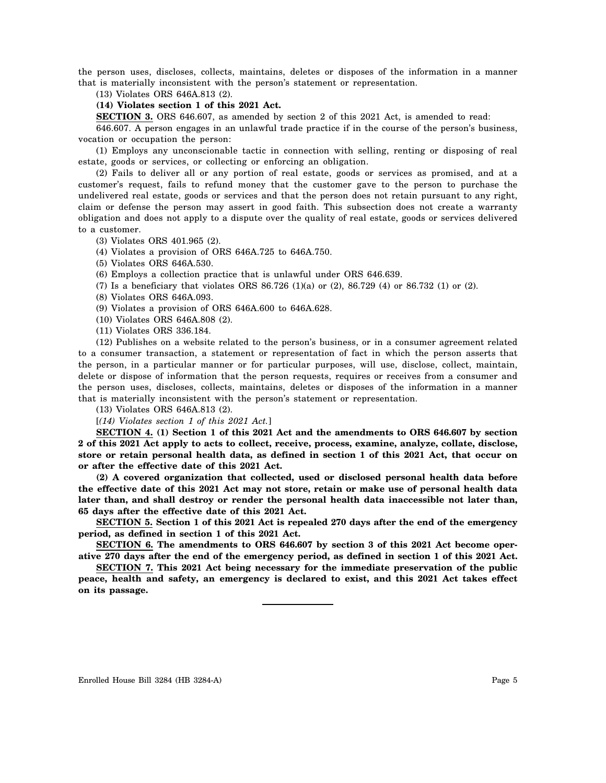the person uses, discloses, collects, maintains, deletes or disposes of the information in a manner that is materially inconsistent with the person's statement or representation.

(13) Violates ORS 646A.813 (2).

**(14) Violates section 1 of this 2021 Act.**

**SECTION 3.** ORS 646.607, as amended by section 2 of this 2021 Act, is amended to read:

646.607. A person engages in an unlawful trade practice if in the course of the person's business, vocation or occupation the person:

(1) Employs any unconscionable tactic in connection with selling, renting or disposing of real estate, goods or services, or collecting or enforcing an obligation.

(2) Fails to deliver all or any portion of real estate, goods or services as promised, and at a customer's request, fails to refund money that the customer gave to the person to purchase the undelivered real estate, goods or services and that the person does not retain pursuant to any right, claim or defense the person may assert in good faith. This subsection does not create a warranty obligation and does not apply to a dispute over the quality of real estate, goods or services delivered to a customer.

- (3) Violates ORS 401.965 (2).
- (4) Violates a provision of ORS 646A.725 to 646A.750.
- (5) Violates ORS 646A.530.
- (6) Employs a collection practice that is unlawful under ORS 646.639.
- (7) Is a beneficiary that violates ORS 86.726 (1)(a) or (2), 86.729 (4) or 86.732 (1) or (2).
- (8) Violates ORS 646A.093.
- (9) Violates a provision of ORS 646A.600 to 646A.628.
- (10) Violates ORS 646A.808 (2).
- (11) Violates ORS 336.184.

(12) Publishes on a website related to the person's business, or in a consumer agreement related to a consumer transaction, a statement or representation of fact in which the person asserts that the person, in a particular manner or for particular purposes, will use, disclose, collect, maintain, delete or dispose of information that the person requests, requires or receives from a consumer and the person uses, discloses, collects, maintains, deletes or disposes of the information in a manner that is materially inconsistent with the person's statement or representation.

(13) Violates ORS 646A.813 (2).

[*(14) Violates section 1 of this 2021 Act.*]

**SECTION 4. (1) Section 1 of this 2021 Act and the amendments to ORS 646.607 by section 2 of this 2021 Act apply to acts to collect, receive, process, examine, analyze, collate, disclose, store or retain personal health data, as defined in section 1 of this 2021 Act, that occur on or after the effective date of this 2021 Act.**

**(2) A covered organization that collected, used or disclosed personal health data before the effective date of this 2021 Act may not store, retain or make use of personal health data later than, and shall destroy or render the personal health data inaccessible not later than, 65 days after the effective date of this 2021 Act.**

**SECTION 5. Section 1 of this 2021 Act is repealed 270 days after the end of the emergency period, as defined in section 1 of this 2021 Act.**

**SECTION 6. The amendments to ORS 646.607 by section 3 of this 2021 Act become operative 270 days after the end of the emergency period, as defined in section 1 of this 2021 Act.**

**SECTION 7. This 2021 Act being necessary for the immediate preservation of the public peace, health and safety, an emergency is declared to exist, and this 2021 Act takes effect on its passage.**